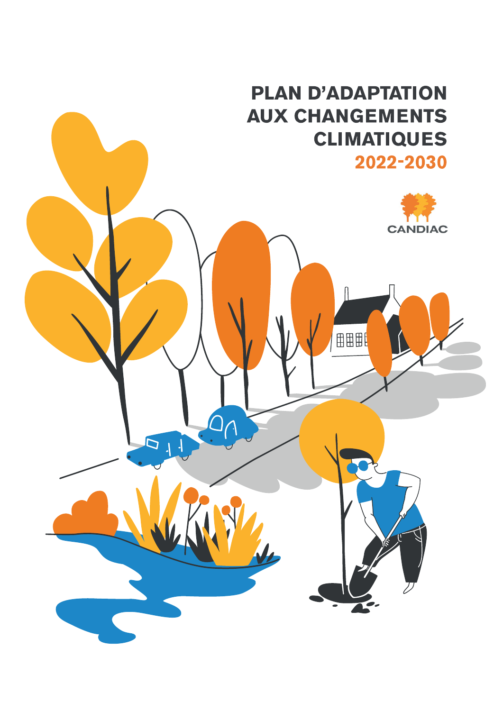# **PLAN D'ADAPTATION AUX CHANGEMENTS CLIMATIQUES** 2022-2030

田田田





 $\overline{D}$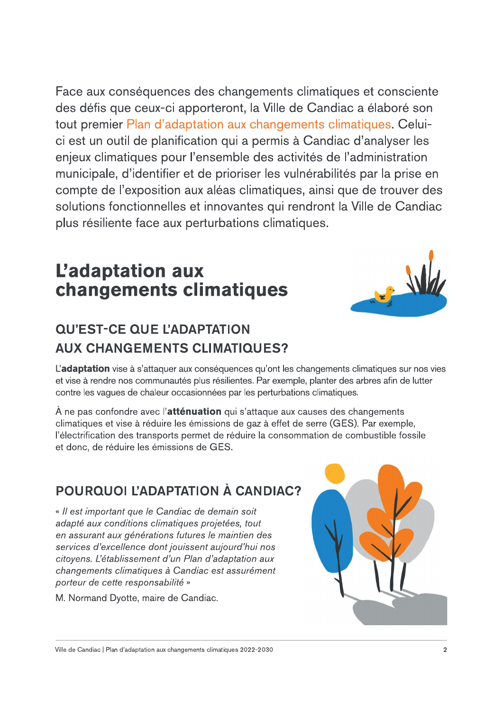Face aux conséquences des changements climatiques et consciente des défis que ceux-ci apporteront, la Ville de Candiac a élaboré son tout premier Plan d'adaptation aux changements climatiques. Celuici est un outil de planification qui a permis à Candiac d'analyser les enjeux climatiques pour l'ensemble des activités de l'administration municipale, d'identifier et de prioriser les vulnérabilités par la prise en compte de l'exposition aux aléas climatiques, ainsi que de trouver des solutions fonctionnelles et innovantes qui rendront la Ville de Candiac plus résiliente face aux perturbations climatiques.

## L'adaptation aux changements climatiques



## **QU'EST-CE QUE L'ADAPTATION AUX CHANGEMENTS CLIMATIQUES?**

L'adaptation vise à s'attaquer aux conséquences qu'ont les changements climatiques sur nos vies et vise à rendre nos communautés plus résilientes. Par exemple, planter des arbres afin de lutter contre les vagues de chaleur occasionnées par les perturbations climatiques.

A ne pas confondre avec l'atténuation qui s'attaque aux causes des changements climatiques et vise à réduire les émissions de gaz à effet de serre (GES). Par exemple, l'électrification des transports permet de réduire la consommation de combustible fossile et donc, de réduire les émissions de GES.

## POURQUOI L'ADAPTATION À CANDIAC?

« Il est important que le Candiac de demain soit adapté aux conditions climatiques projetées, tout en assurant aux générations futures le maintien des services d'excellence dont jouissent aujourd'hui nos citoyens. L'établissement d'un Plan d'adaptation aux changements climatiques à Candiac est assurément porteur de cette responsabilité »



M. Normand Dyotte, maire de Candiac.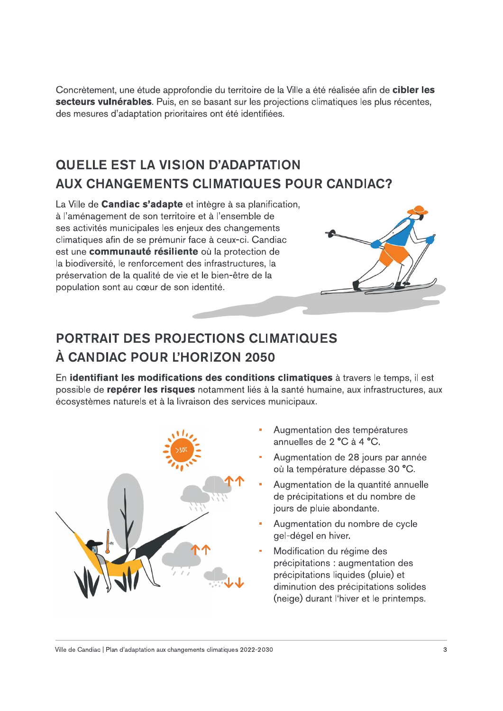Concrètement, une étude approfondie du territoire de la Ville a été réalisée afin de cibler les secteurs vulnérables. Puis, en se basant sur les projections climatiques les plus récentes, des mesures d'adaptation prioritaires ont été identifiées.

## **QUELLE EST LA VISION D'ADAPTATION AUX CHANGEMENTS CLIMATIQUES POUR CANDIAC?**

La Ville de Candiac s'adapte et intègre à sa planification, à l'aménagement de son territoire et à l'ensemble de ses activités municipales les enjeux des changements climatiques afin de se prémunir face à ceux-ci. Candiac est une communauté résiliente où la protection de la biodiversité, le renforcement des infrastructures, la préservation de la qualité de vie et le bien-être de la population sont au cœur de son identité.



#### **PORTRAIT DES PROJECTIONS CLIMATIQUES** À CANDIAC POUR L'HORIZON 2050

En identifiant les modifications des conditions climatiques à travers le temps, il est possible de repérer les risques notamment liés à la santé humaine, aux infrastructures, aux écosystèmes naturels et à la livraison des services municipaux.



- Augmentation des températures annuelles de 2 °C à 4 °C.
- Augmentation de 28 jours par année où la température dépasse 30 °C.
- Augmentation de la quantité annuelle de précipitations et du nombre de jours de pluie abondante.
- Augmentation du nombre de cycle gel-dégel en hiver.
- Modification du régime des précipitations : augmentation des précipitations liquides (pluie) et diminution des précipitations solides (neige) durant l'hiver et le printemps.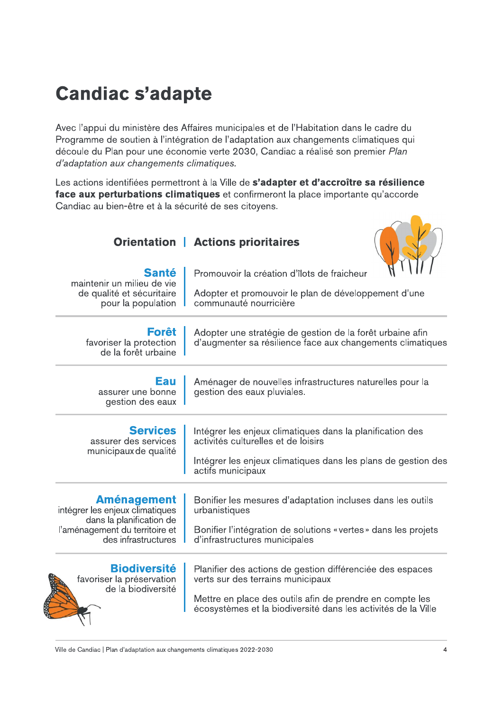## **Candiac s'adapte**

Avec l'appui du ministère des Affaires municipales et de l'Habitation dans le cadre du Programme de soutien à l'intégration de l'adaptation aux changements climatiques qui découle du Plan pour une économie verte 2030, Candiac a réalisé son premier Plan d'adaptation aux changements climatiques.

Les actions identifiées permettront à la Ville de s'adapter et d'accroître sa résilience face aux perturbations climatiques et confirmeront la place importante qu'accorde Candiac au bien-être et à la sécurité de ses citoyens.

| <b>Orientation</b>                                               | <b>Actions prioritaires</b>                                                                                             |
|------------------------------------------------------------------|-------------------------------------------------------------------------------------------------------------------------|
| <b>Santé</b><br>maintenir un milieu de vie                       | Promouvoir la création d'îlots de fraicheur                                                                             |
| de qualité et sécuritaire<br>pour la population                  | Adopter et promouvoir le plan de développement d'une<br>communauté nourricière                                          |
| <b>Forêt</b><br>favoriser la protection<br>de la forêt urbaine   | Adopter une stratégie de gestion de la forêt urbaine afin<br>d'augmenter sa résilience face aux changements climatiques |
| Eau<br>assurer une bonne<br>gestion des eaux                     | Aménager de nouvelles infrastructures naturelles pour la<br>gestion des eaux pluviales.                                 |
| <b>Services</b><br>assurer des services<br>municipaux de qualité | Intégrer les enjeux climatiques dans la planification des<br>activités culturelles et de loisirs                        |
|                                                                  | Intégrer les enjeux climatiques dans les plans de gestion des<br>actifs municipaux                                      |
| <b>Aménagement</b><br>intégrer les enjeux climatiques            | Bonifier les mesures d'adaptation incluses dans les outils<br>urbanistiques                                             |
| dans la planification de<br>l'aménagement du territoire et       | Bonifier l'intégration de solutions « vertes » dans les projets                                                         |

des infrastructures | d'infrastructures municipales



favoriser la préservation de la biodiversité

Planifier des actions de gestion différenciée des espaces verts sur des terrains municipaux

Mettre en place des outils afin de prendre en compte les écosystèmes et la biodiversité dans les activités de la Ville

 $\overline{4}$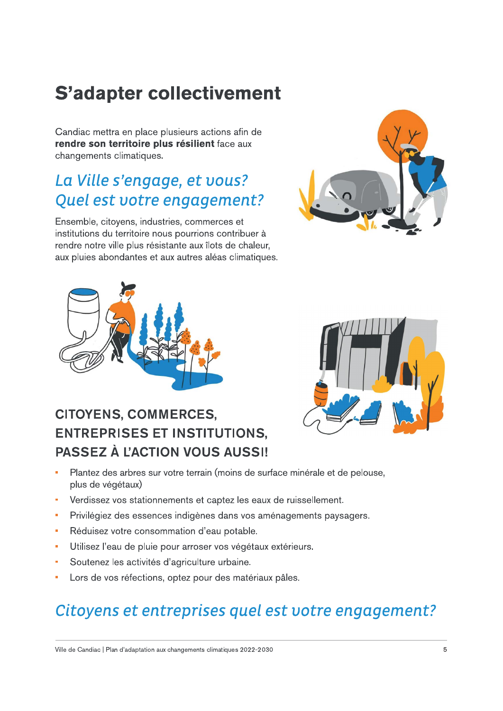# **S'adapter collectivement**

Candiac mettra en place plusieurs actions afin de rendre son territoire plus résilient face aux changements climatiques.

## La Ville s'engage, et vous? Quel est votre engagement?

Ensemble, citoyens, industries, commerces et institutions du territoire nous pourrions contribuer à rendre notre ville plus résistante aux îlots de chaleur, aux pluies abondantes et aux autres aléas climatiques.





## **CITOYENS, COMMERCES, ENTREPRISES ET INSTITUTIONS, PASSEZ À L'ACTION VOUS AUSSI!**



- Plantez des arbres sur votre terrain (moins de surface minérale et de pelouse,  $\overline{\phantom{a}}$ plus de végétaux)
- Verdissez vos stationnements et captez les eaux de ruissellement. ×
- Privilégiez des essences indigènes dans vos aménagements paysagers. F
- Réduisez votre consommation d'eau potable. ×
- Utilisez l'eau de pluie pour arroser vos végétaux extérieurs. Ē,
- Soutenez les activités d'agriculture urbaine.
- Lors de vos réfections, optez pour des matériaux pâles. Ľ,

## Citoyens et entreprises quel est votre engagement?